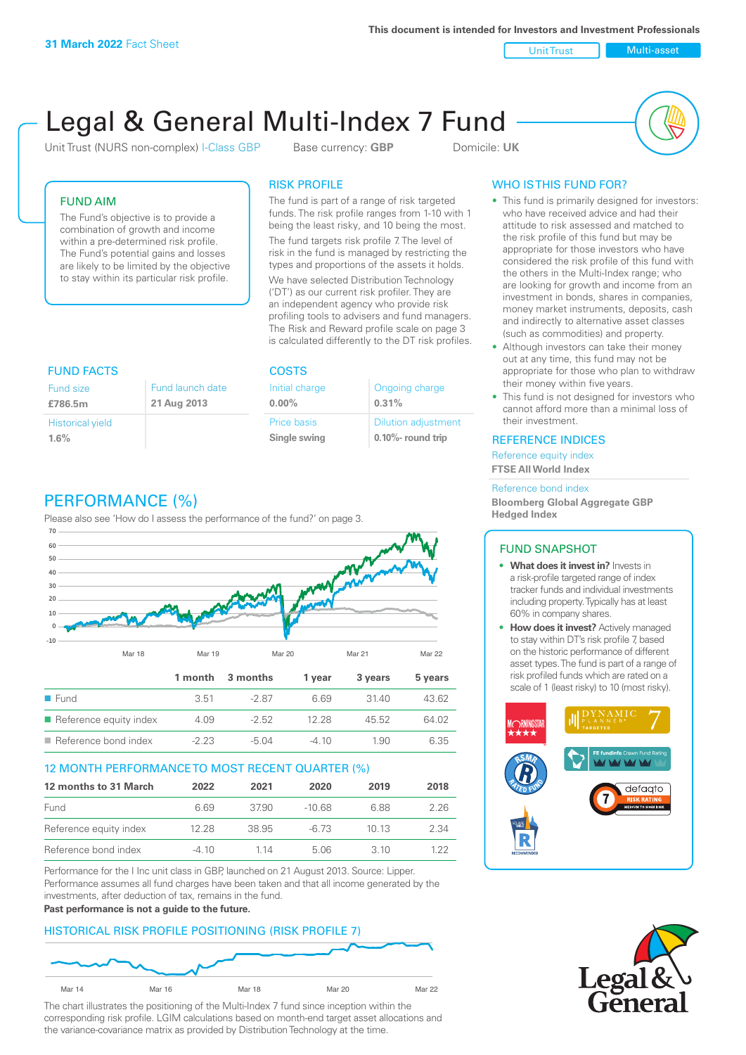Unit Trust Nulti-asset

# Legal & General Multi-Index 7 Fund

Unit Trust (NURS non-complex) I-Class GBP Base currency: **GBP** Domicile: UK



## FUND AIM

The Fund's objective is to provide a combination of growth and income within a pre-determined risk profile. The Fund's potential gains and losses are likely to be limited by the objective to stay within its particular risk profile.

### RISK PROFILE

The fund is part of a range of risk targeted funds. The risk profile ranges from 1-10 with 1 being the least risky, and 10 being the most.

The fund targets risk profile 7. The level of risk in the fund is managed by restricting the types and proportions of the assets it holds. We have selected Distribution Technology ('DT') as our current risk profiler. They are an independent agency who provide risk profiling tools to advisers and fund managers. The Risk and Reward profile scale on page 3 is calculated differently to the DT risk profiles.

| <b>FUND FACTS</b>       |                  | <b>COSTS</b>   |                            |
|-------------------------|------------------|----------------|----------------------------|
| <b>Fund size</b>        | Fund launch date | Initial charge | Ongoing charge             |
| £786.5m                 | 21 Aug 2013      | $0.00\%$       | 0.31%                      |
| <b>Historical yield</b> |                  | Price basis    | <b>Dilution adjustment</b> |
| 1.6%                    |                  | Single swing   | $0.10\%$ - round trip      |

# PERFORMANCE (%)

Please also see 'How do I assess the performance of the fund?' on page 3.



#### 12 MONTH PERFORMANCE TO MOST RECENT QUARTER (%)

| 12 months to 31 March  | 2022  | 2021  | 2020     | 2019  | 2018 |
|------------------------|-------|-------|----------|-------|------|
| Fund                   | 6.69  | 3790  | $-10.68$ | 6.88  | 226  |
| Reference equity index | 12.28 | 38.95 | -6.73    | 10 13 | 2.34 |
| Reference bond index   | -4.10 | 1 14  | 5.06     | 3 10  | 1 22 |

Performance for the I Inc unit class in GBP, launched on 21 August 2013. Source: Lipper. Performance assumes all fund charges have been taken and that all income generated by the investments, after deduction of tax, remains in the fund.

#### **Past performance is not a guide to the future.**

## HISTORICAL RISK PROFILE POSITIONING (RISK PROFILE 7)



The chart illustrates the positioning of the Multi-Index 7 fund since inception within the corresponding risk profile. LGIM calculations based on month-end target asset allocations and the variance-covariance matrix as provided by Distribution Technology at the time.

# WHO IS THIS FUND FOR?

- This fund is primarily designed for investors: who have received advice and had their attitude to risk assessed and matched to the risk profile of this fund but may be appropriate for those investors who have considered the risk profile of this fund with the others in the Multi-Index range; who are looking for growth and income from an investment in bonds, shares in companies, money market instruments, deposits, cash and indirectly to alternative asset classes (such as commodities) and property.
- Although investors can take their money out at any time, this fund may not be appropriate for those who plan to withdraw their money within five years.
- This fund is not designed for investors who cannot afford more than a minimal loss of their investment.

#### REFERENCE INDICES

Reference equity index **FTSE All World Index**

#### Reference bond index

**Bloomberg Global Aggregate GBP Hedged Index**

## FUND SNAPSHOT

- **• What does it invest in?** Invests in a risk-profile targeted range of index tracker funds and individual investments including property. Typically has at least 60% in company shares.
- **• How does it invest?** Actively managed to stay within DT's risk profile 7, based on the historic performance of different asset types. The fund is part of a range of risk profiled funds which are rated on a scale of 1 (least risky) to 10 (most risky).



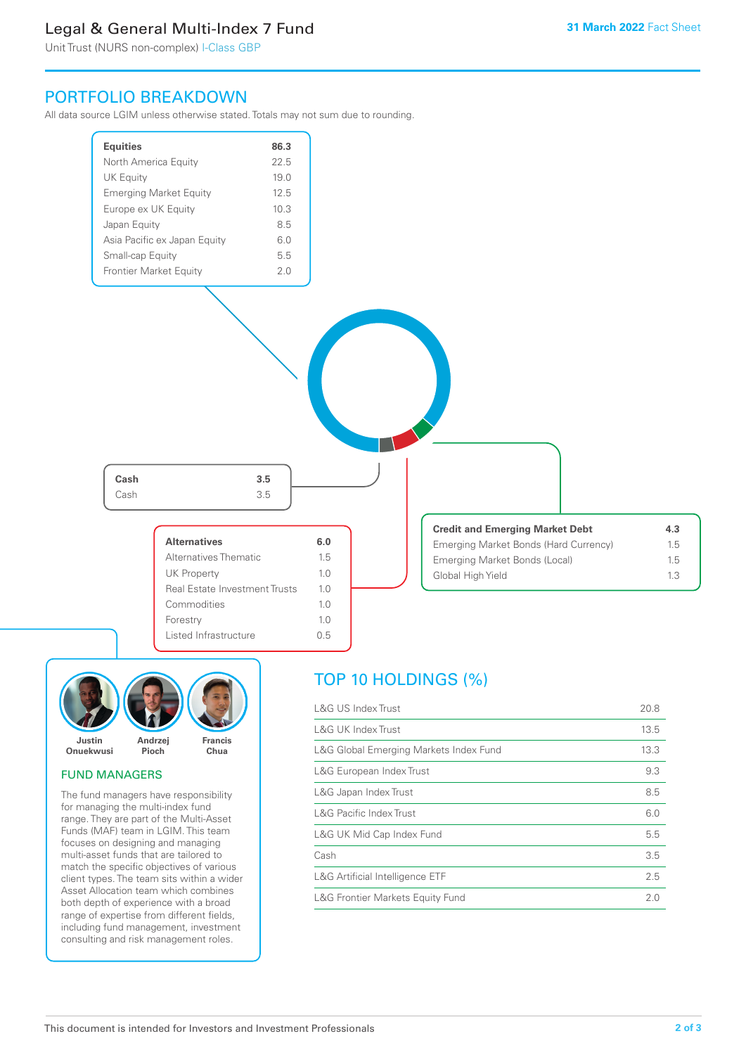# Legal & General Multi-Index 7 Fund

Unit Trust (NURS non-complex) I-Class GBP

# PORTFOLIO BREAKDOWN

All data source LGIM unless otherwise stated. Totals may not sum due to rounding.





#### FUND MANAGERS

The fund managers have responsibility for managing the multi-index fund range. They are part of the Multi-Asset Funds (MAF) team in LGIM. This team focuses on designing and managing multi-asset funds that are tailored to match the specific objectives of various client types. The team sits within a wider Asset Allocation team which combines both depth of experience with a broad range of expertise from different fields, including fund management, investment consulting and risk management roles.

# TOP 10 HOLDINGS (%)

| <b>L&amp;G US Index Trust</b>          | 20.8 |
|----------------------------------------|------|
| <b>L&amp;G UK Index Trust</b>          | 13.5 |
| L&G Global Emerging Markets Index Fund | 13.3 |
| L&G European Index Trust               | 9.3  |
| L&G Japan Index Trust                  | 8.5  |
| <b>L&amp;G Pacific Index Trust</b>     | 6.0  |
| L&G UK Mid Cap Index Fund              | 5.5  |
| Cash                                   | 3.5  |
| L&G Artificial Intelligence ETF        | 2.5  |
| L&G Frontier Markets Equity Fund       | 2.0  |